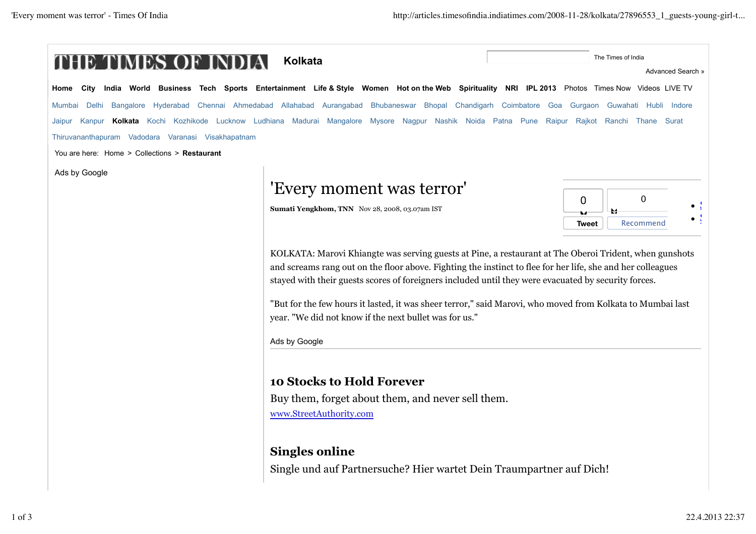| E TIMES OF                                         | <b>Kolkata</b>                                                                                                                                | The Times of India               |
|----------------------------------------------------|-----------------------------------------------------------------------------------------------------------------------------------------------|----------------------------------|
|                                                    | City India World Business Tech Sports Entertainment Life & Style Women Hotonthe Web Spirituality NRI IPL 2013 Photos Times Now Videos LIVE TV | Advanced Search »                |
| Home                                               |                                                                                                                                               |                                  |
| Mumbai                                             | Delhi Bangalore Hyderabad Chennai Ahmedabad Allahabad Aurangabad Bhubaneswar Bhopal Chandigarh Coimbatore Goa Gurgaon Guwahati Hubli Indore   |                                  |
| Jaipur                                             | Kanpur Kolkata Kochi Kozhikode Lucknow Ludhiana Madurai Mangalore Mysore Nagpur Nashik Noida Patna Pune                                       | Raipur Rajkot Ranchi Thane Surat |
| Thiruvananthapuram Vadodara Varanasi Visakhapatnam |                                                                                                                                               |                                  |
| You are here: Home > Collections > Restaurant      |                                                                                                                                               |                                  |
| Ads by Google                                      |                                                                                                                                               |                                  |
|                                                    | 'Every moment was terror'                                                                                                                     | $\mathbf 0$                      |
|                                                    | Sumati Yengkhom, TNN Nov 28, 2008, 03.07am IST                                                                                                | 0<br>64                          |
|                                                    |                                                                                                                                               | Recommend<br><b>Tweet</b>        |
|                                                    |                                                                                                                                               |                                  |
|                                                    | KOLKATA: Marovi Khiangte was serving guests at Pine, a restaurant at The Oberoi Trident, when gunshots                                        |                                  |
|                                                    | and screams rang out on the floor above. Fighting the instinct to flee for her life, she and her colleagues                                   |                                  |
|                                                    | stayed with their guests scores of foreigners included until they were evacuated by security forces.                                          |                                  |
|                                                    | "But for the few hours it lasted, it was sheer terror," said Marovi, who moved from Kolkata to Mumbai last                                    |                                  |
|                                                    | year. "We did not know if the next bullet was for us."                                                                                        |                                  |
|                                                    |                                                                                                                                               |                                  |
|                                                    | Ads by Google                                                                                                                                 |                                  |
|                                                    |                                                                                                                                               |                                  |
|                                                    | <b>10 Stocks to Hold Forever</b>                                                                                                              |                                  |
|                                                    | Buy them, forget about them, and never sell them.                                                                                             |                                  |
|                                                    |                                                                                                                                               |                                  |
|                                                    |                                                                                                                                               |                                  |
|                                                    | www.StreetAuthority.com                                                                                                                       |                                  |
|                                                    |                                                                                                                                               |                                  |
|                                                    | <b>Singles online</b><br>Single und auf Partnersuche? Hier wartet Dein Traumpartner auf Dich!                                                 |                                  |